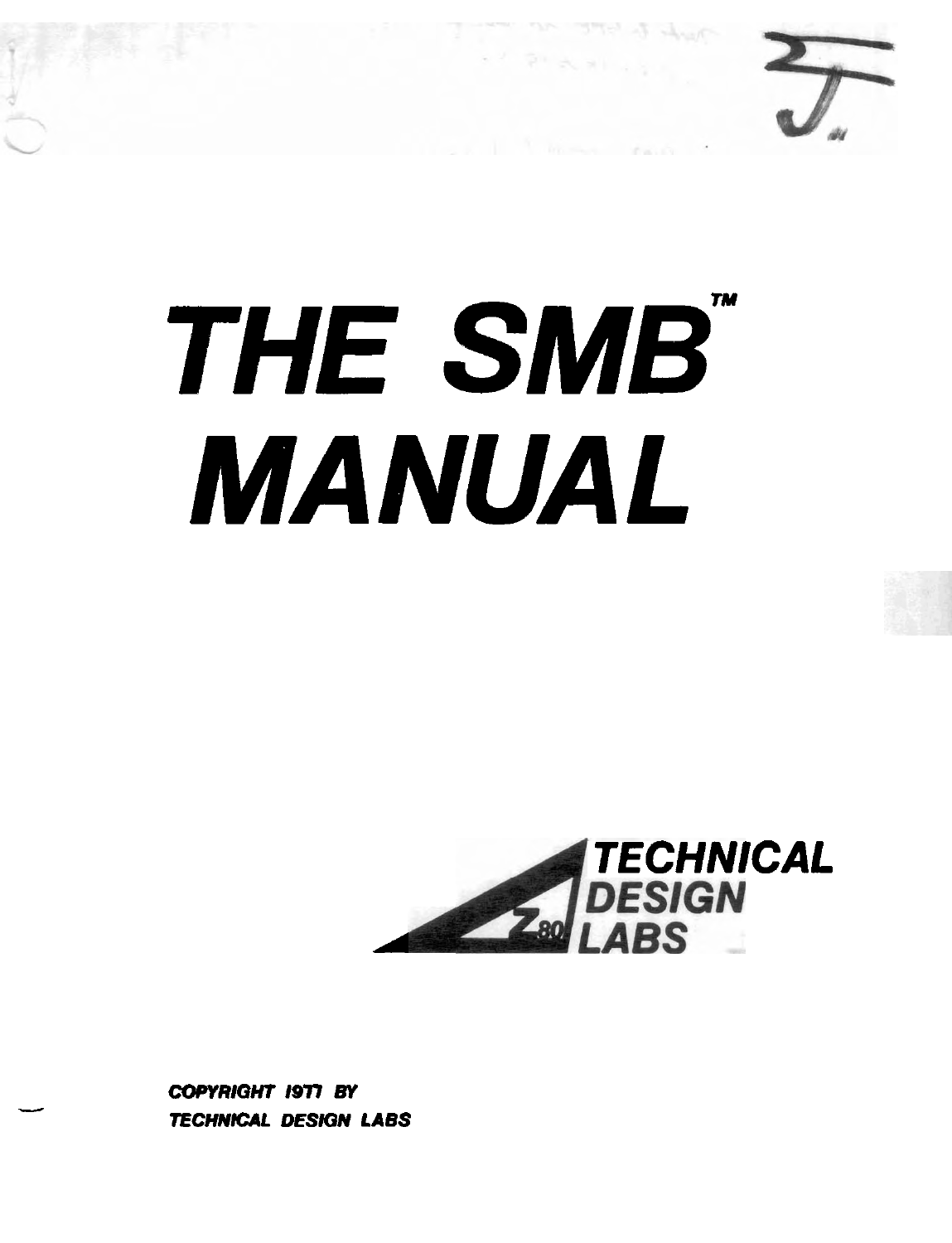

# **THE SMB" MANUAL**



**COPYRIQHT 1977 BY TECHNICAL DESIQN LABS** 

-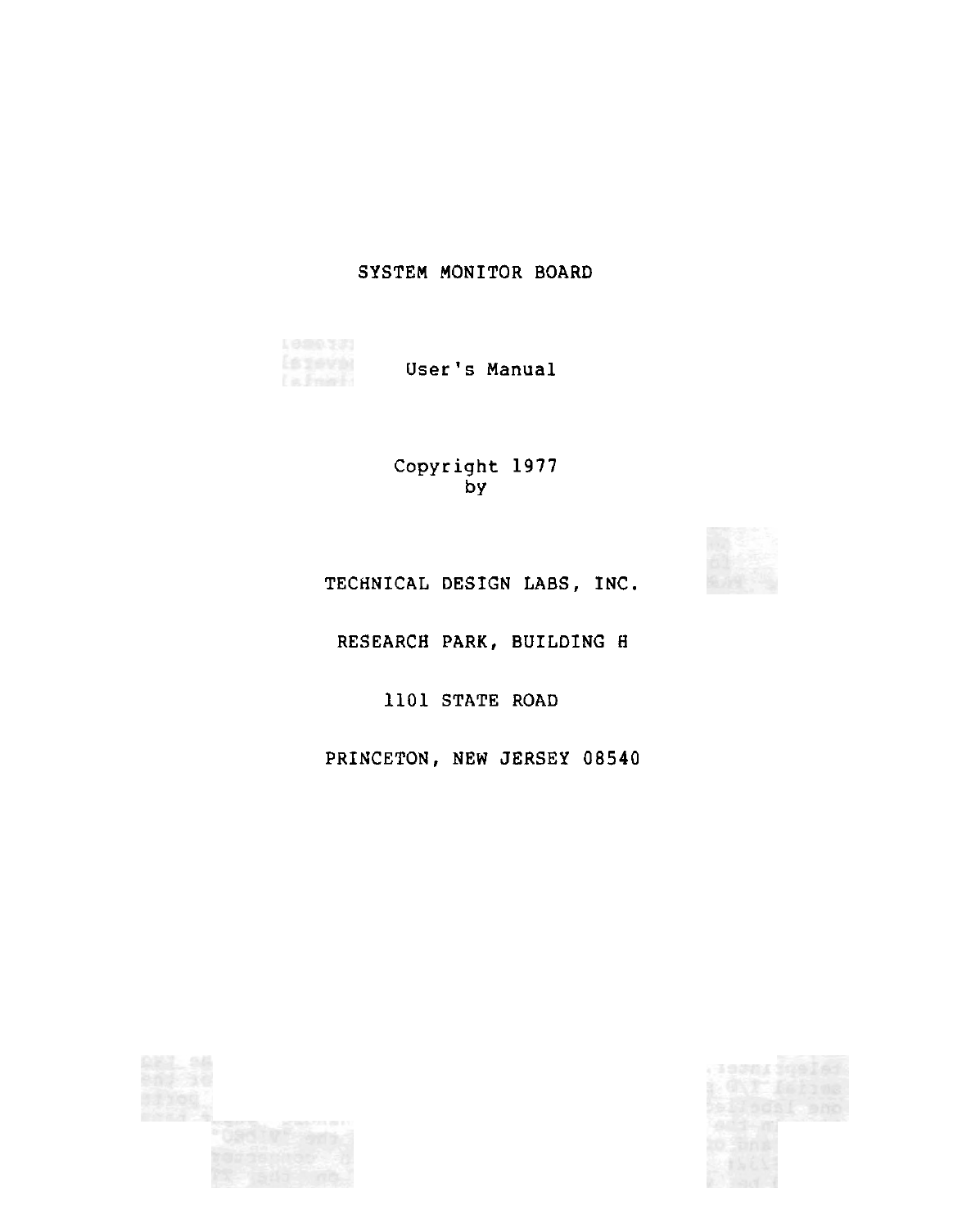# SYSTEM MONITOR BOARD

ls geva<br>La font User's Manual

> Copyright 1977  $\bar{b}y$

TECHNICAL DESIGN LABS, INC.

RESEARCH PARK, BUILDING H

1101 STATE ROAD

PRINCETON, NEW JERSEY 08540

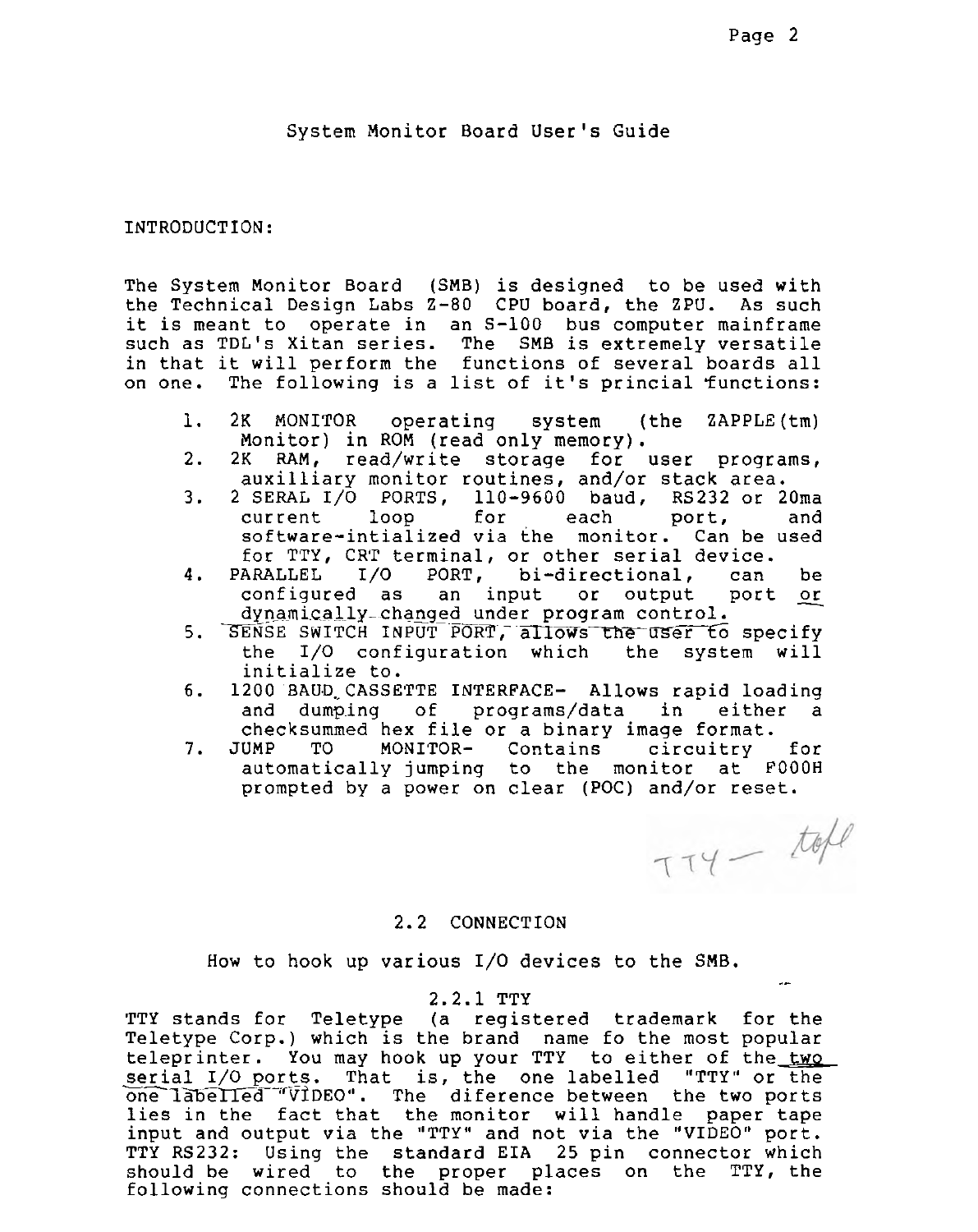System Monitor Board User's Guide

### INTRODUCTION:

The System Monitor Board (SMB) is designed to be used with the Technical Design Labs 2-80 CPU board, the ZPU. As such it is meant to operate in an S-100 bus computer mainframe such as TDL's Xitan series. The SMB is extremely versatile in that it will perform the functions of several boards all on one. The following is a list of it's princial functions:

- 1. 2K MONITOR operating system (the ZAPPLE(tm) Monitor) in ROM (read only memory).
- 2. 2K RAM, read/write storage for user programs, auxilliary monitor routines, and/or stack area.
- 3. 2 SERAL 1/0 PORTS, 110-9600 baud, RS232 or 20ma current loop for each port. and for TTY, CRT terminal, or other serial device.
- software-intialized via the monitor. Can be used<br>for TTY, CRT terminal, or other serial device.<br>ARALLEL I/O PORT, bi-directional, can be<br>configured as an input or output port or<br>dynamically\_changed under program control. 4. PARALLEL I/O PORT, bi-directional, can be<br>configured as an input or output port or dynamically-changed under program control. configured as an input or output port or<br>dynamically-changed under program control.<br>5. SENSE SWITCH INPUT PORT, allows the user to specify<br>the I/O configuration which the system will
- the  $I/O$  configuration which initialize to.
- 6. 1200 BAUD CASSETTE INTERFACE- Allows rapid loading and dumping of programs/data in either
- checksummed hex file or a binary image format.<br>JUMP TO MONITOR- Contains circuitry 7. JUMP TO MONITOR- Contains circuitry for automatically jumping to the monitor at FOOOH prompted by a power on clear (POC) and/or reset.

 $TTY - tabl$ 

#### 2.2 CONNECTION

How to hook up various I/O devices to the SMB.

#### 2.2.1 TTY

TTY stands for Teletype (a registered trademark for the Teletype Corp.) which is the brand name fo the most popular teleprinter. You may hook up your TTY to either of the two serial I/O ports. That is, the one labelled "TTY" or the one labelled "VIDEO". The diference between the two ports lies in the fact that the monitor will handle paper tape input and output via the "TTY" and not via the "VIDEO" port. TTY RS232: Using the standard EIA 25 pin connector which should be wired to the proper places on the TTY, the following connections should be made: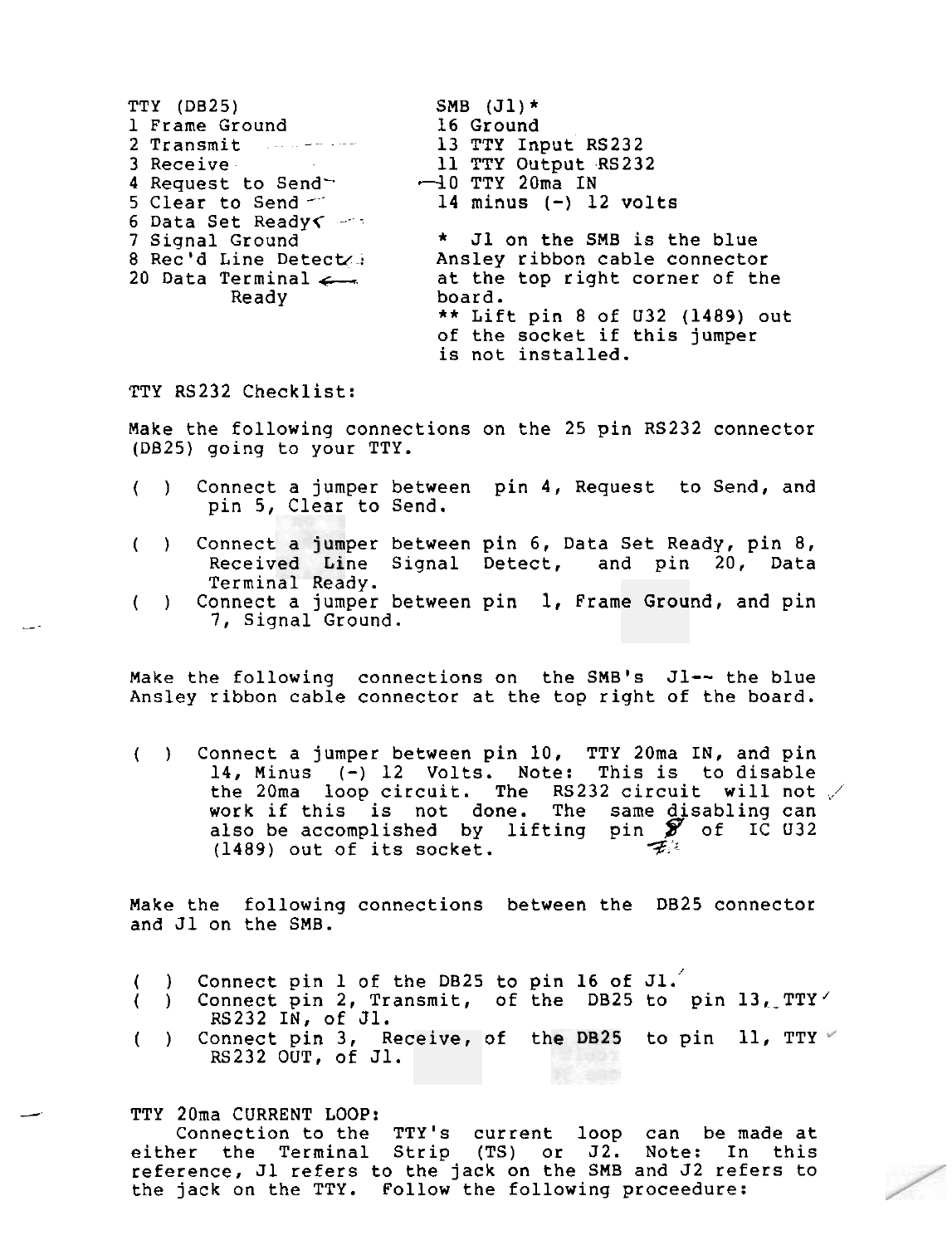| TTY (DB25)                    | SMB $(J1)*$                     |
|-------------------------------|---------------------------------|
| 1 Frame Ground                | <b>16 Ground</b>                |
| 2 Transmit American           | 13 TTY Input RS232              |
| 3 Receive                     | 11 TTY Output RS232             |
| 4 Request to Send             | $-10$ TTY 20ma IN               |
| 5 Clear to Send $\sim$        | 14 minus $(-)$ 12 volts         |
| 6 Data Set Ready<             |                                 |
| 7 Signal Ground               | * Jl on the SMB is the blue     |
| 8 Rec'd Line Detect           | Ansley ribbon cable connector   |
| 20 Data Terminal $\leftarrow$ | at the top right corner of the  |
| Ready                         | board.                          |
|                               | ** Lift pin 8 of U32 (1489) out |
|                               | of the socket if this jumper    |
|                               | is not installed.               |

TTY RS232 Checklist:

Make the following connections on the 25 pin RS232 connector (DB25) going to your TTY.

- ( ) Connect a jumper between pin 4, Request to Send, and pin 5, Clear to Send.
- () Connect a jumper between pin 6, Data Set Ready, pin 8, Received Line Signal Detect, and pin 20, Data Terminal Ready.
- ( ) Connect a jumper between pin 1, Frame Ground, and pin 1, Frame Ground, and pin 1, Frame Ground, and pin

Make the following connections on the SMB's J1-- the blue Ansley ribbon cable connector at the top right of the board.

( ) Connect a jumper between pin 10, TTY 2Oma IN, and pin 14, Minus (-) 12 Volts. Note: This is to disable the 20ma loop circuit. The RS232 circuit will not  $\swarrow$ work if this is not done. The same disabling can also be accomplished by lifting pin *9* of IC 032 (1489) out of its socket.  $\mathcal{F}^{\mathbb{R}}$ 

Make the following connections between the DB25 connector and J1 on the SMB.

- ( ) Connect pin 1 of the DB25 to pin 16 of J1.<sup>2</sup><br>( ) Connect pin 2, Transmit, of the DB25 to
- Connect pin 2, Transmit, of the DB25 to pin  $13_L$  TTY RS232 IN, of J1.
- ( ) Connect pin 3, Receive, of the DB25 to pin  $11$ , TTY FS232 OUT, of J1.

TTY 20ma CURRENT LOOP:

Connection to the TTY's current loop can be made at either the Terminal Strip (TS) or 52. Note: In this reference, Jl refers to the jack on the SMB and J2 refers to the jack on the TTY. Follow the following proceedure: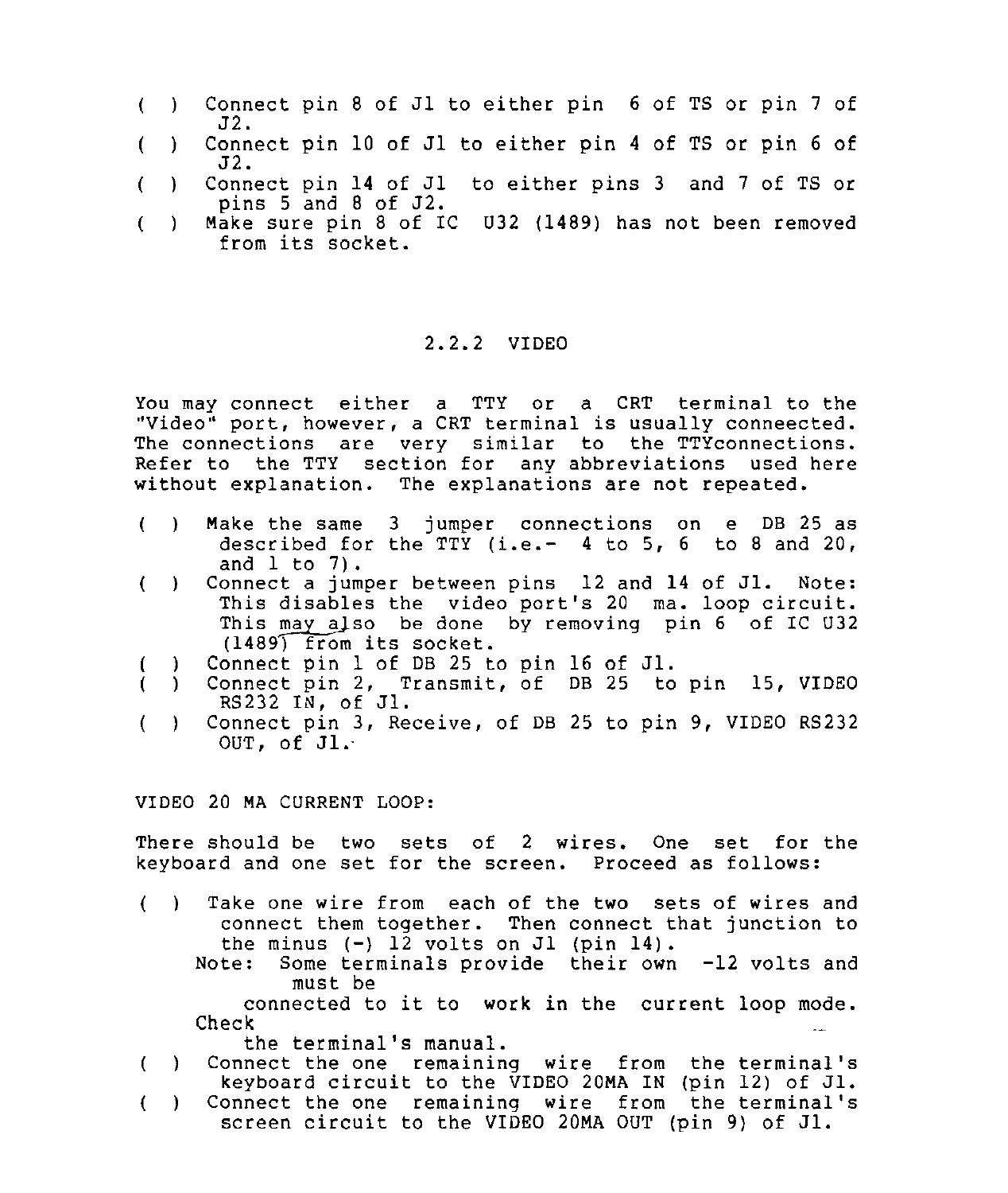- ( ) Connect pin 8 of Jl to either pin 6 of TS or pin 7 of **J L.**
- ( ) Connect pin 10 of J1 to either pin 4 of TS or pin 6 of 52.
- ( ) Connect pin 14 of J1 to either pins 3 and 7 of TS or pins  $5$  and  $8$  of  $J2$ .
- ( ) Make sure pin 8 of IC U32 (1489) has not been removed from its socket.

# 2.2.2 VIDEO

You may connect either a TTY or a CRT terminal to the "Video" port, however, a CRT terminal is usually conneected. The connections are very similar to the TTYconnections. Refer to the TTY section for any abbreviations used here without explanation. The explanations are not repeated.

- ( ) Make the same 3 jumper connections on e DB 25 as described for the TTY (i.e.-  $4$  to 5, 6 to 8 and 20, and  $l$  to  $7$ ).
- ( ) Connect a jumper between pins 12 and 14 of J1. Note: This disables the video port's 20 ma. loop circuit. This may also be done by removing pin  $6$  of IC U32 (1489) from its socket.
- Connect pin 1 of DB 25 to pin 16 of J1.
- ) Connect pin 2, Transmit, of DB 25 to pin 15, VIDEO RS232 IN, of J1.
- ( ) Connect pin 3, Receive, of DB 25 to pin 9, VIDEO RS232 OUT, of Jl.

VIDEO 20 MA CURRENT LOOP:

There should be two sets of 2 wires. One set for the keyboard and one set for the screen. Proceed as follows:

- ( ) Take one wire from each of the two sets of wires and connect them together. Then connect that junction to the minus  $(-)$  12 volts on J1 (pin 14).
	- Note: Some terminals provide their own -12 volts and must be

connected to it to work in the current loop mode. Check .-

- the terminal's manual.
- ( ) Connect the one remaining wire from the terminal's keyboard circuit to the VIDEO 20MA IN (pin 12) of J1.
- ( ) Connect the one remaining wire from the terminal's screen circuit to the VIDEO 20MA OUT (pin 9) of Jl.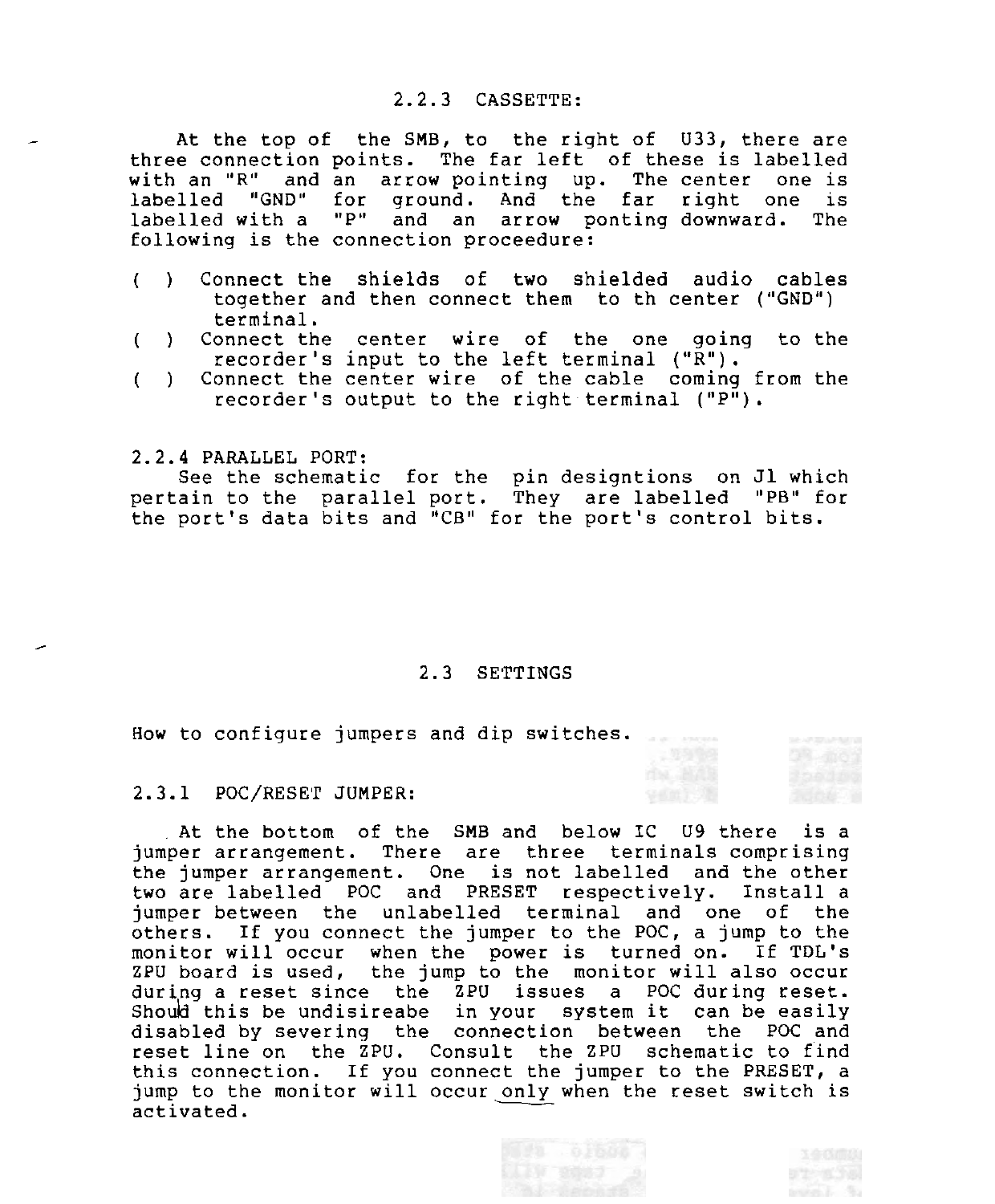#### 2.2.3 CASSETTE:

At the top of the SMB, to the right of U33, there are three connection points. The far left of these is labelled with an "R" and an arrow pointing up. The center one is labelled "GND" for ground. And the far right one is labelled with a "P" and an arrow ponting downward. The following is the connection proceedure:

- ( ) Connect the shields of two shielded audio cables together and then connect them to th center **("GND")**  terminal.
- ( ) Connect the center wire of the one going to the recorder's input to the left terminal ("R").
- ( ) Connect the center wire of the cable coming from the recorder's output to the right terminal ("P").

2.2.4 PARALLEL PORT:

-

See the schematic for the pin designtions on J1 which pertain to the parallel port. They are labelled "PB" for the port's data bits and "CB" for the port's control bits.

#### 2.3 SETTINGS

How to configure jumpers and dip switches.

2.3.1 POC/RESET JUMPER:

At the bottom of the SMB and below IC U9 there is a jumper arrangement. There are three terminals comprising the jumper arrangement. One is not labelled and the other two are labelled POC and PRESET respectively. jumper between the unlabelled terminal and one of the others. If you connect the jumper to the POC, a jump to the monitor will occur when the power is turned on. If TDL's ZPU board is used, the jump to the monitor will also occur during a reset since the ZPU issues a POC during reset. Shoud this be undisireabe in your system it can be easily disabled by severing the connection between the POC and reset line on the ZPU. Consult the ZPU schematic to find this connection. If you connect the jumper to the PRESET, a jump to the monitor will occur only when the reset switch is activated.

week 5.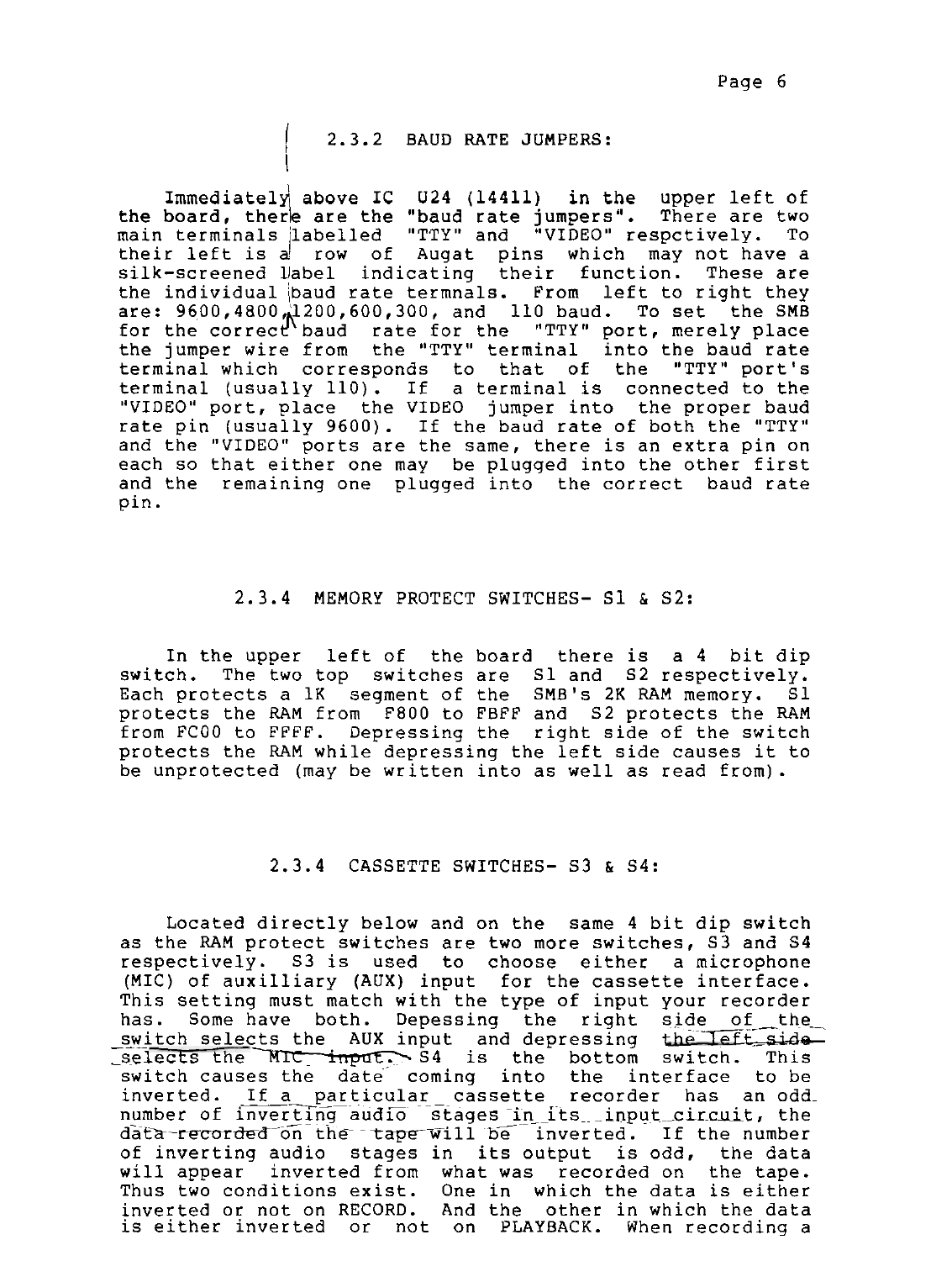# 2.3.2 BAUD RATE JUMPERS:

I

Immediately above IC  $U24$  (14411) in the upper left of board, there are the "baud rate jumpers". There are two the board, there are the "baud rate jumpers". There are two main terminals /labelled "TTY" and "VIDEO" respctively. To their left is a row of Augat pins which may not have a silk-screened llabel indicating their function. These are the individual baud rate termnals. From left to right they are:  $9600$ , $4800$   $\frac{1200}$ , $600$ , $300$ , and  $110$  baud. To set the SMB for the correct baud rate for the "TTY" port, merely place the jumper wire from the "TTY" terminal into the baud rate terminal which corresponds to that of the "TTY" port's terminal (usually 110). If a terminal is connected to the "VIDEO" port, place the VIDEO jumper into the proper baud rate pin (usually 9600). If the baud rate of both the "TTY" and the "VIDEO" ports are the same, there is an extra pin on each so that either one may be plugqed into the other first and the remaining one plugged into the correct baud rate pin.

# 2.3.4 MEMORY PROTECT SWITCHES- S1 & S2:

In the upper left of the board there is a 4 bit dip switch. The two top switches are S1 and S2 respectively. The two top switches are S1 and S2 respectively.<br>ects a 1K segment of the SMB's 2K RAM memory. S1 Each protects a 1K segment of the SMB's 2K RAM memory. protects the RAM from F800 to FBFF and 52 protects the RAM from FCOO to FFFF. Depressing the right side of the switch protects the RAM while depressing the left side causes it to be unprotected (may be written into as well as read from).

# 2.3.4 CASSETTE SWITCHES- 53 & 54:

Located directly below and on the same 4 bit dip switch as the RAM protect switches are two more switches, S3 and S4 respectively. S3 is used to choose either a microphone (MIC) of auxilliary (AUX) input for the cassette interface. This setting must match with the type of input your recorder has. Some have both. Depessing the right side of the<br>switch selects the AUX input and depressing the left side (MIC) of auxilliary (AUX) input for the cassette interface.<br>This setting must match with the type of input your recorder<br>has. Some have both. Depessing the right side of the<br>switch selects the AUX input and depressing the switch causes the date coming into the interface to be inverted. If a particular cassette recorder has an oddnumber of inverting audio stages in its input circuit, the data-recorded on the tape will be inverted. If the number of inverting audio stages in its output is odd, the data will appear inverted from what was recorded on the tape. Thus two conditions exist. One in which the data is either inverted or not on RECORD. And the other in which the data is either inverted or not on PLAYBACK. When recording a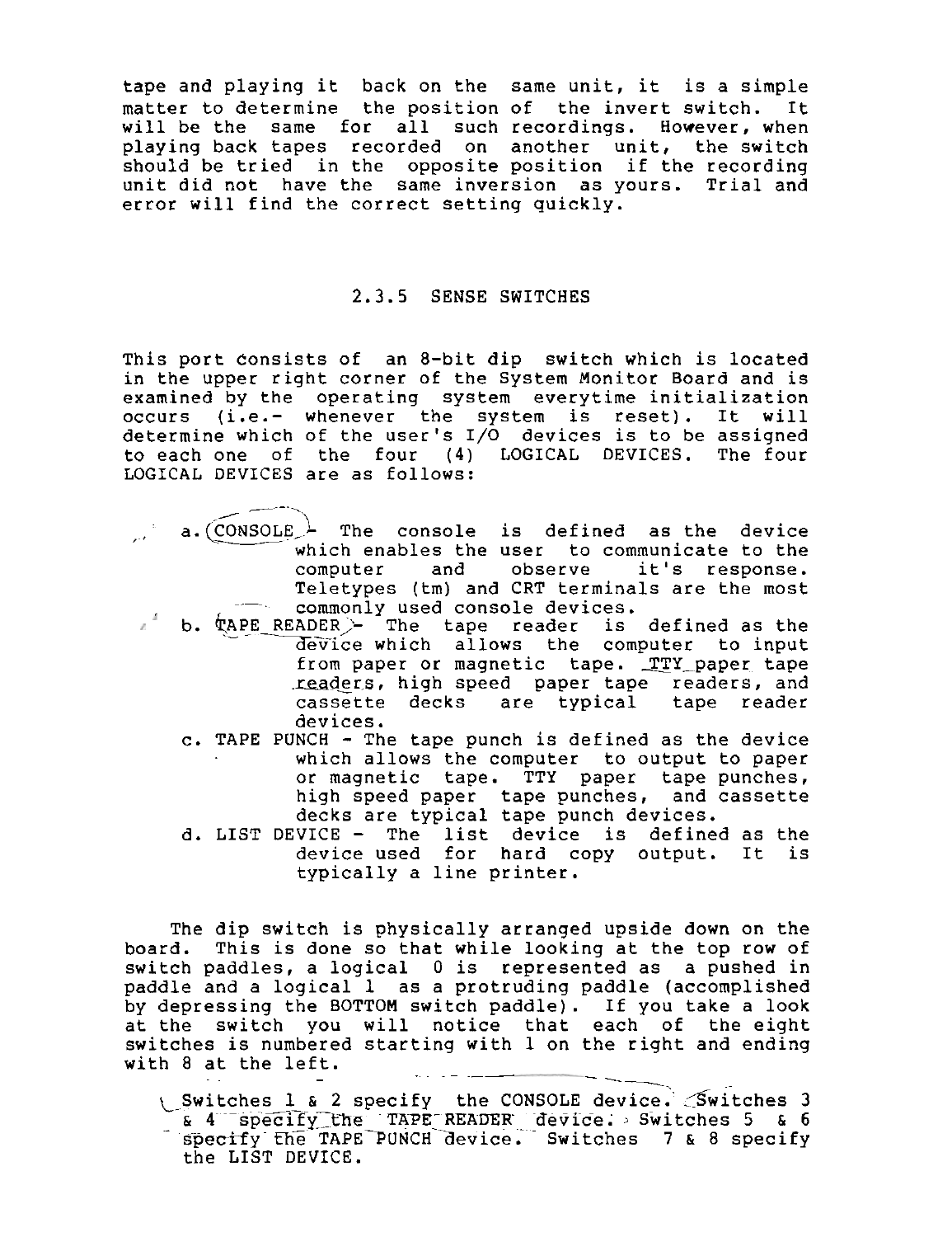tape and playing it back on the same unit, it is a simple matter to determine the position of the invert switch. It will be the same for all such recordings. However, when playing back tapes recorded on another unit, the switch should be tried in the opposite position if the recording unit did not have the same inversion as yours. Trial and error will find the correct setting quickly.

#### 2.3.5 SENSE SWITCHES

This port Consists of an 8-bit dip switch which is located in the upper right corner of the System Monitor Board and is examined by the operating system everytime initialization occurs (i.e.- whenever the system is reset). It will determine which of the user's 1/0 devices is to be assigned to each one of the four (4) LOGICAL DEVICES. The four LOGICAL DEVICES are as follows:<br>
a *(CONSOLE*) The console nich of the<br>
of the<br>
ICES are a his port consists of an 8-bit dip switch which is located<br>
in the upper right corner of the System Monitor Board and is<br>
xamined by the operating system everytime initialization<br>
ccurs (i.e.- whenever the system is reset).

- which enables the user to communicate to the<br>computer and observe it's response. computer and observe Teletypes (tm) and CRT terminals are the most commonly used console devices.
	- b. APE READER,& The tape reader is defined as the -- YeTice which allows the computer to input from paper or magnetic tape. TTY paper tape readers, high speed paper tape readers, and cassette decks are typical tape reader devices.
		- c. TAPE PUNCH The tape punch is defined as the device which allows the computer to output to paper or magnetic tape. TTY paper tape punches, high speed paper tape punches, and cassette decks are typical tape punch devices.
		- d. LIST DEVICE The list device is defined as the device used for hard copy output. It is typically a line printer.

The dip switch is physically arranged upside down on the board. This is done so that while looking at the top row of switch paddles, a logical **0** is represented as a pushed in paddle and a logical 1 as a protruding paddle (accomplished by depressing the BOTTOM switch paddle). If you take a look at the switch you will notice that each of the eight switches is numbered starting with  $1$  on the right and ending with  $8$  at the left.

witches 1 & 2 specify the CONSOLE device. Switches 3 c 4 specify the TAPE READER device. Switches 5 & 6 specify the TAPE PUNCH device. Switches 7 & 8 specify the LIST DEVICE.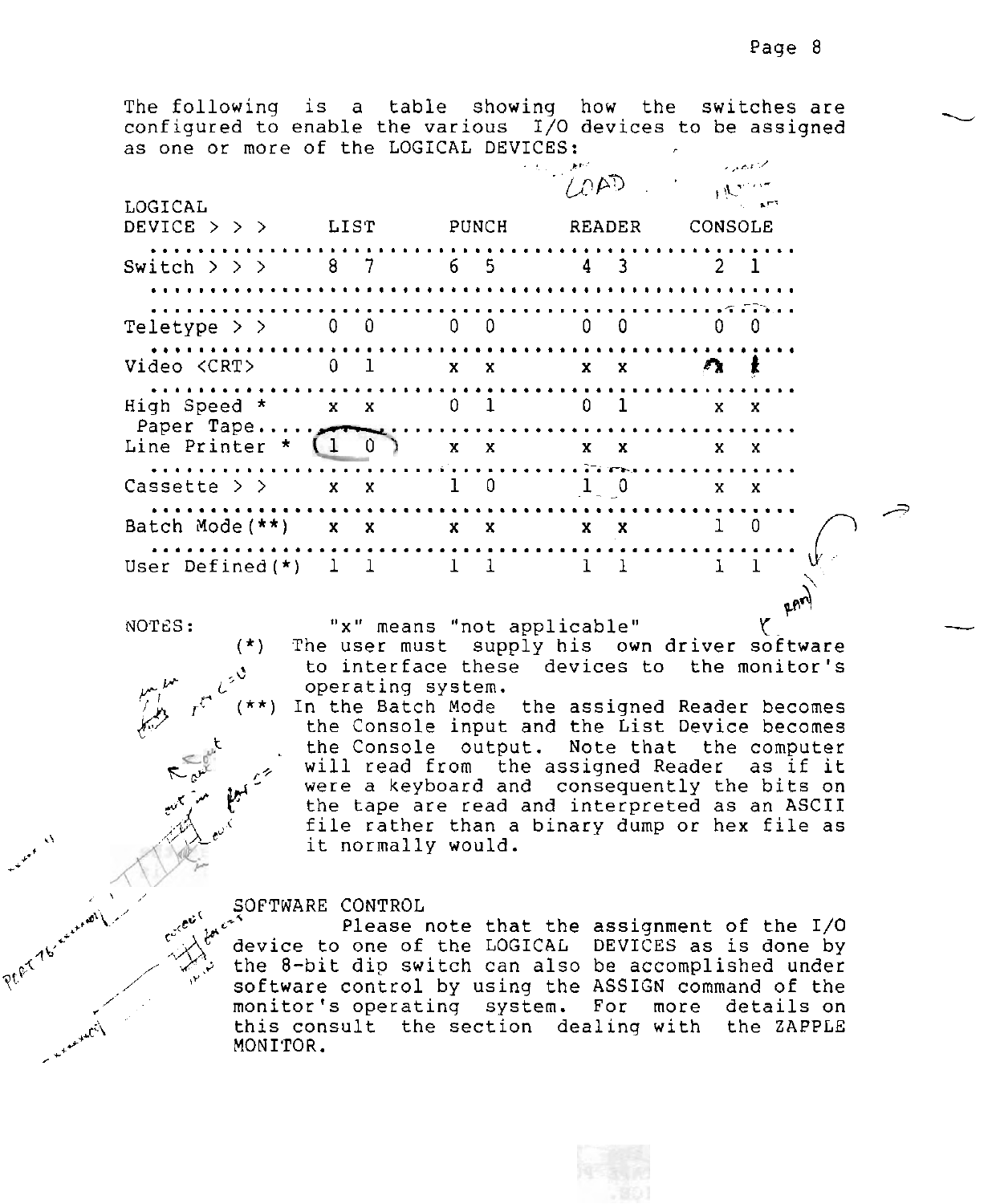The following is a table showing how the switches are configured to enable the various  $1/0$  devices to be assigned as one or more of the LOGICAL DEVICES:

| LOGICAL<br>DEVICE > > > LIST PUNCH READER CONSOLE     |  |           |  |  |  |                            |  |         |                                              |  |
|-------------------------------------------------------|--|-----------|--|--|--|----------------------------|--|---------|----------------------------------------------|--|
| Switch $>$ > > 8 7 6 5 4 3 2 1<br>. <i>.</i> .        |  |           |  |  |  |                            |  |         |                                              |  |
| Teletype > > $0 \t0 \t0 \t0 \t0 \t0 \t0 \t0$          |  |           |  |  |  |                            |  |         |                                              |  |
| Video <crt> 0 1 x x x x <math>\wedge</math> x x</crt> |  |           |  |  |  |                            |  |         |                                              |  |
| High Speed * x x 0 1 0 1 x x                          |  |           |  |  |  |                            |  |         |                                              |  |
|                                                       |  |           |  |  |  |                            |  |         |                                              |  |
| Cassette > $>$ x x 1 0 1 0                            |  |           |  |  |  |                            |  | $X$ $X$ |                                              |  |
| Batch Mode (**) x x x x x x x 1 0                     |  |           |  |  |  |                            |  |         |                                              |  |
| User Defined(*) 1 1 1 1 1 1 1 1 1                     |  |           |  |  |  |                            |  |         |                                              |  |
| NOTES:                                                |  | $(\star)$ |  |  |  | "x" means "not applicable" |  |         | The user must supply his own driver software |  |

-

 $\leq$ 

to interface these devices to the monitor's operating system. *yr<sup>yr</sup> (<sup>2</sup>* operating system.<br>(( \*\*) In the Batch Mode

 $r^{c}$  (\*\*) In the Batch Mode the assigned Reader becomes<br>the Console input and the List Device becomes the Console output. Note that the computer the Console input and the List Device becomes<br>the Console output. Note that the computer<br>will read from the assigned Reader as if it<br>were a keyboard and consequently the bits on<br>the tape are read and interpreted as an ASCI were a keyboard and consequently the bits on **c**" is the tape are read and interpreted as an ASCII file rather than a binary dump or hex file as  $\mathbb{R}^d$ ,  $e^{t}$  $f(x) = \begin{cases} 0 & \text{if } x \in \mathbb{R}^n, \\ 0 & \text{if } x \in \mathbb{R}^n, \end{cases}$  it normally would.

#### SOFTWARE CONTROL

Please note that the assignment of the I/O device to one of the LOGICAL DEVICES as is done by<br>the 8-bit dip switch can also be accomplished under software control by using the ASSIGN command of the monitor's operating system. For more details on<br>this consult the section dealing with the ZAPPLE<br>MONITOR. this consult the section dealing with the ZAPPLE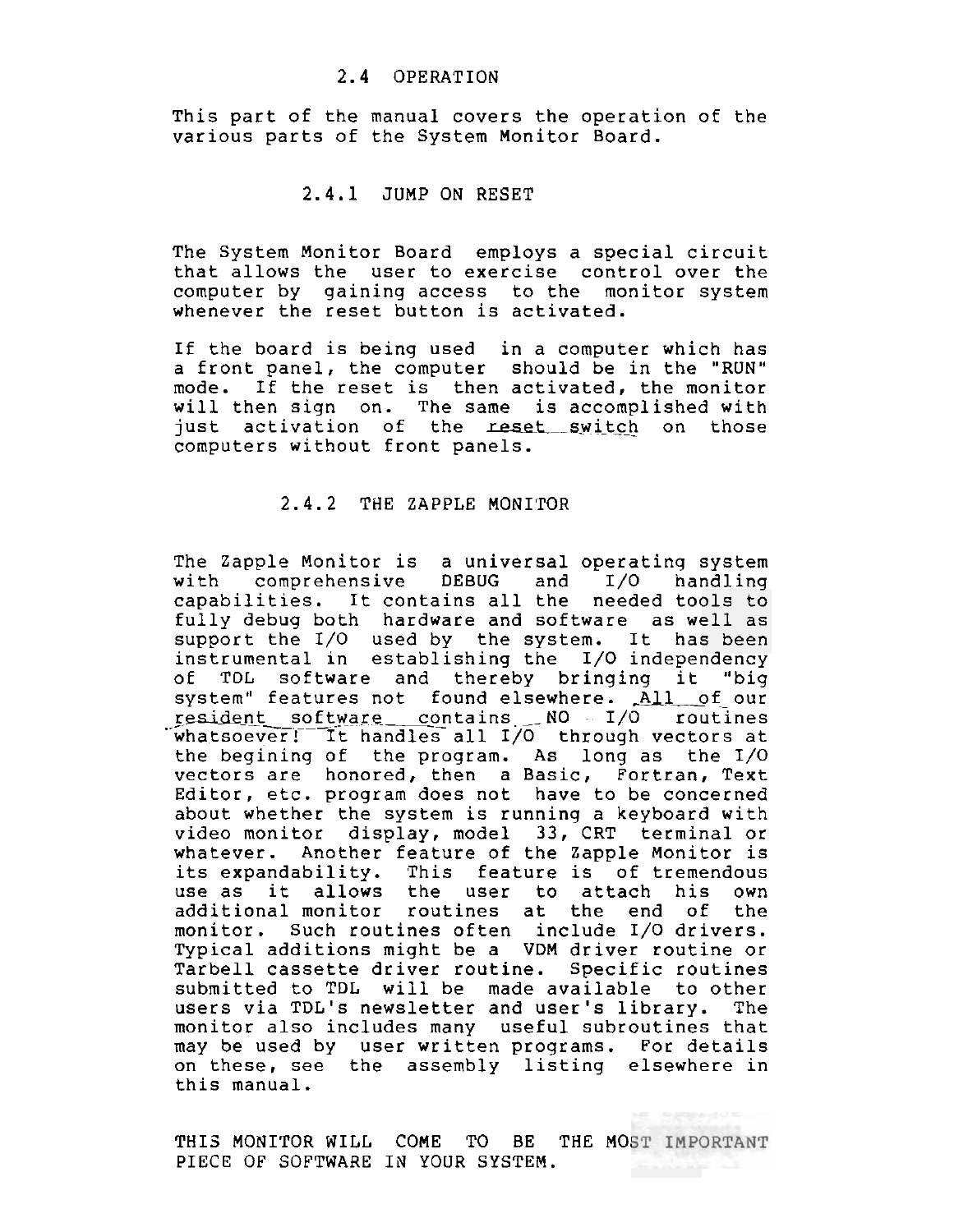#### 2.4 OPERATION

This part of the manual covers the operation of the various parts of the System Monitor Board.

#### 2.4.1 JUMP ON RESET

The System Monitor Board employs a special circuit that allows the user to exercise control over the computer by gaining access to the monitor system whenever the reset button is activated.

If the board is being used in a computer which has a front panel, the computer should be in the "RUN" mode. If the reset is then activated, the monitor will then sign on. The same is accomplished with just activation of the reset switch on those computers without front panels.

# 2.4.2 THE ZAPPLE MONI'TOR

The Zapple Monitor is a universal operatinq system with comprehensive DEBUG and 1/0 handling capabilities. It contains all the needed tools to fully debug both hardware and software as well as support the 1/0 used by the system. It has been instrumental in establishing the 1/0 independency of TDL software and thereby bringing it "big system" features not found elsewhere. All of our **cesident software contains NO 1/0 routines**<br>whatsoever! It handles all I/O through vectors at the begining of the program. As long as the 1/0 vectors are honored, then a Basic, Fortran, Text Editor, etc. program does not have to be concerned about whether the system is running a keyboard with video monitor display, model 33, CRT terminal or whatever. Another feature of the Zapple Monitor is its expandability. This feature is of tremendous use as it allows the user to attach his own additional monitor routines at the end of the monitor. Such routines often include 1/0 drivers. Typical additions might be a VDM driver routine or Tarbell cassette driver routine. Specific routines submitted to TDL will be made available to other users via TDL's newsletter and user's library. The monitor also includes many useful subroutines that may be used by user written programs. For details on these, see the assembly listing elsewhere in this manual.

THIS MONITOR WILL COME TO BE THE MOST IMPORTANT PIECE OF SOFTWARE IN YOUR SYSTEM.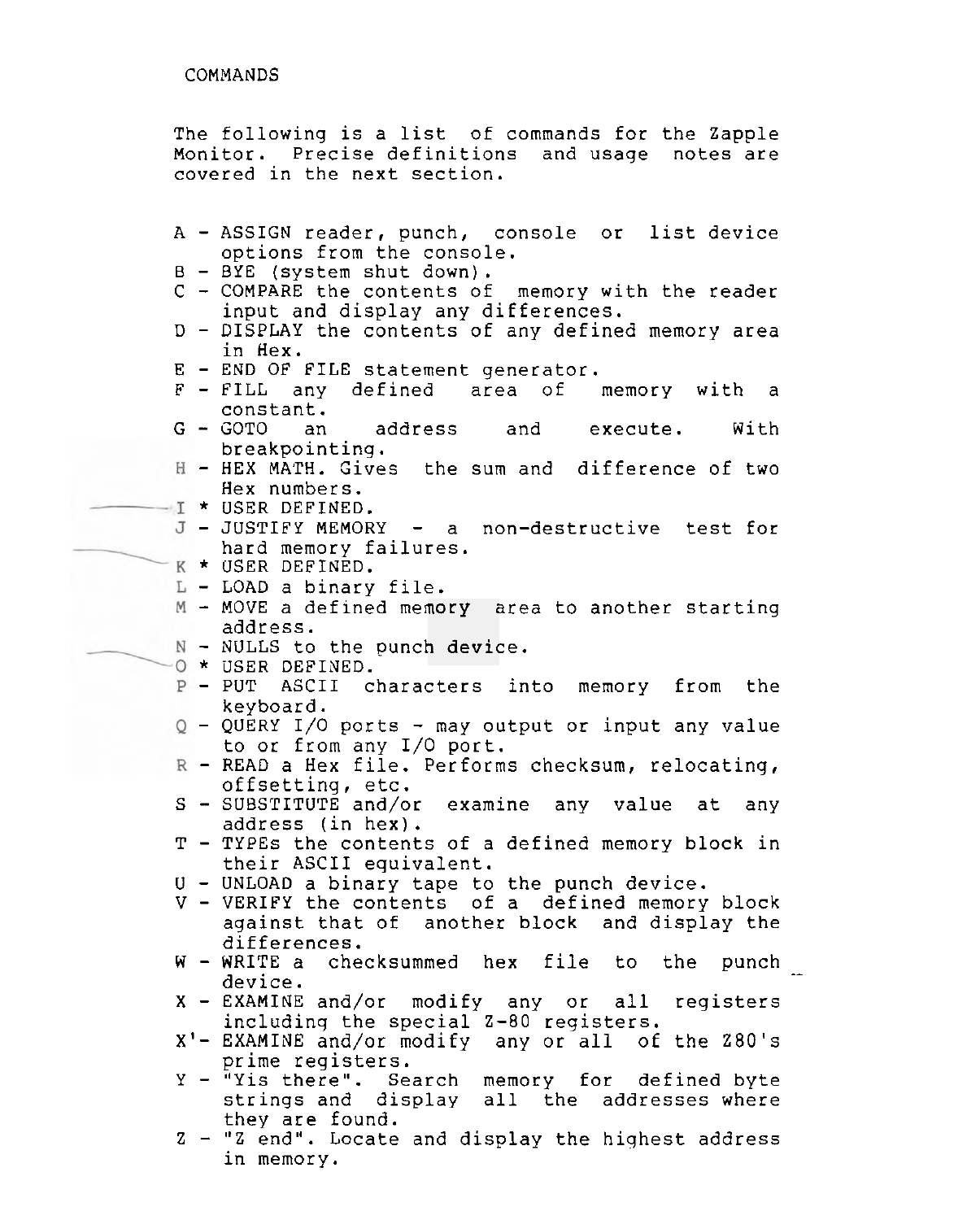The following is a list of commands for the Zapple Monitor. Precise definitions and usage notes are covered in the next section.

- <sup>A</sup> ASSIGN reader, punch, console or list device options from the console.
- <sup>B</sup> BYE (system shut down).
- <sup>C</sup> COMPARE the contents of memory with the reader input and display any differences.
- <sup>D</sup> DISPLAY the contents of any defined memory area in Hex.
- 
- E END OF FILE statement generator.<br>F FILL any defined area of memory with a  $F - FILL$  any defined area of constant.<br>G - GOTO an
- an address and execute. With breakpointing.
- HEX MAIH. Gives the sum and difference of two Hex numbers.
- $-1$  \* USER DEFINED.
- JUSTIFY MEMORY a non-destructive test for hard memory failures.<br>- K \* USER DEFINED.
	-
	- L LOAD a binary file.
	- LOAD a binary rife.<br>- MOVE a defined mem<mark>ory ar</mark>ea to another starting address.
	- address.<br>- NULLS to the punc<mark>h devi</mark>ce.<br>\* USER DEFINED.
	-
- -0 \* USER DEFINED.<br>
P PUT ASCII characters into memory from the<br>
keyboard.
	- $Q$  QUERY I/O ports may output or input any value to or from any 1/0 port.
- $R$  READ a Hex file. Performs checksum, relocating, offsetting, etc.
- <sup>S</sup> SUBSTITUTE and/or examine any value at any address (in hex).
- <sup>T</sup> TYPES the contents of a defined memory block in their ASCII equivalent.
- U UNLOAD a binary tape to the punch device.
- <sup>V</sup> VERIFY the contents of a defined memory block against that of another block and display the differences.
- $W WRITE$  a checksummed hex file to the punch .<br>device.
- <sup>X</sup> EXAMINE and/or modify any or all registers includinq the special Z-80 registers.
- **XI-** EXAMINE and/or modify any or all of the 280's prime registers.
- <sup>Y</sup> "Yis there". Search memory for defined byte strinqs and display all the addresses where they are found.
- <sup>Z</sup> **"2** end". Locate and display the highest address in memory.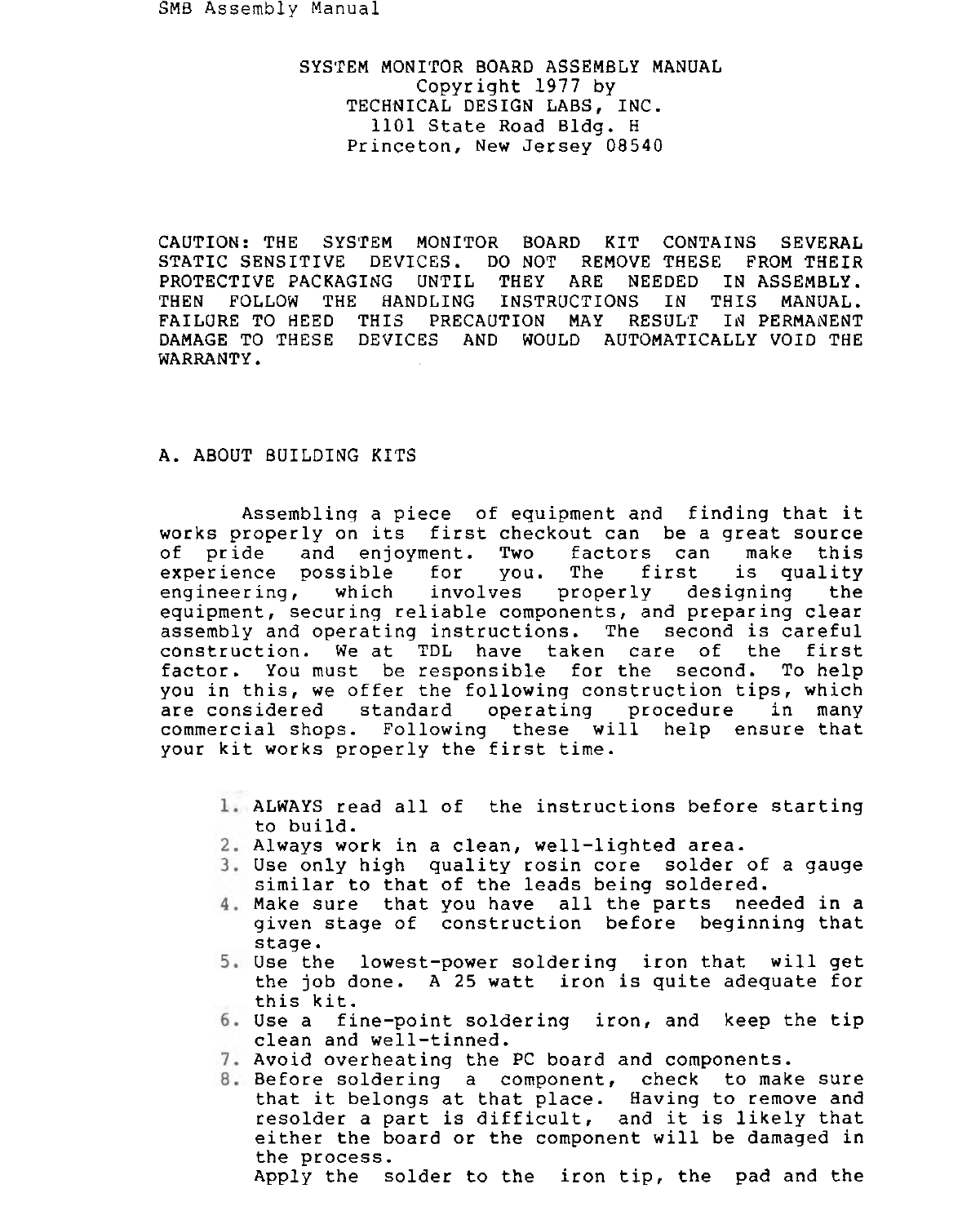SMB Assembly Manual

SYSTEM MONITOR BOARD ASSEMBLY MANUAL Copyright 1977 by TECHNICAL DESIGN LABS, INC. 1101 State Road Bldg. H Princeton, New Jersey 08540

CAUTION: THE SYSTEM MONITOR BOARD KIT CONTAINS SEVERAL STATIC SENSITIVE DEVICES. DO NOT REMOVE THESE FROM THEIR PROTECTIVE PACKAGING UNTIL THEY ARE NEEDED IN ASSEMBLY. THEN FOLLOW THE HANDLING INSTRUCTIONS IN THIS MANUAL. FAILURE TO HEED THIS PRECAUTION MAY RESULT IN PERMANENT DAMAGE TO THESE DEVICES AND WOULD AUTOMATICALLY VOID THE WARRANTY.

# A. ABOUT BUILDING KITS

Assembling a piece of equipment and finding that it works properly on its first checkout can be a great source of pride and enjoyment. Two factors can make this<br>experience possible for you. The first is quality experience possible for you. The first engineering, which involves properly designing the equipment, securing reliable components, and preparing clear assembly and operating instructions. The second is careful construction. We at TDL have taken care of the first factor. You must be responsible for the second. To help you in this, we offer the following construction tips, which are considered standard operating procedure in many commercial shops. Following these will help ensure that your kit works properly the first time.

- ALWAYS read all of the instructions before starting to build.
- Always work in a clean, well-lighted area.
- Use only high quality rosin core solder of a gauge similar to that of the leads being soldered.
- Make sure that you have all the parts needed in a given stage of construction before beginning that stage.
- Use the lowest-power soldering iron that will get the job done. A 25 watt iron is quite adequate for this kit.
- Use a fine-point soldering iron, and keep the tip clean and well-tinned.
- 7. Avoid overheating the PC board and components.
- Before soldering a component, check to make sure that it belongs at that place. Having to remove and resolder a part is difficult, and it is likely that either the board or the component will be damaged in the process.

Apply the solder to the iron tip, the pad and the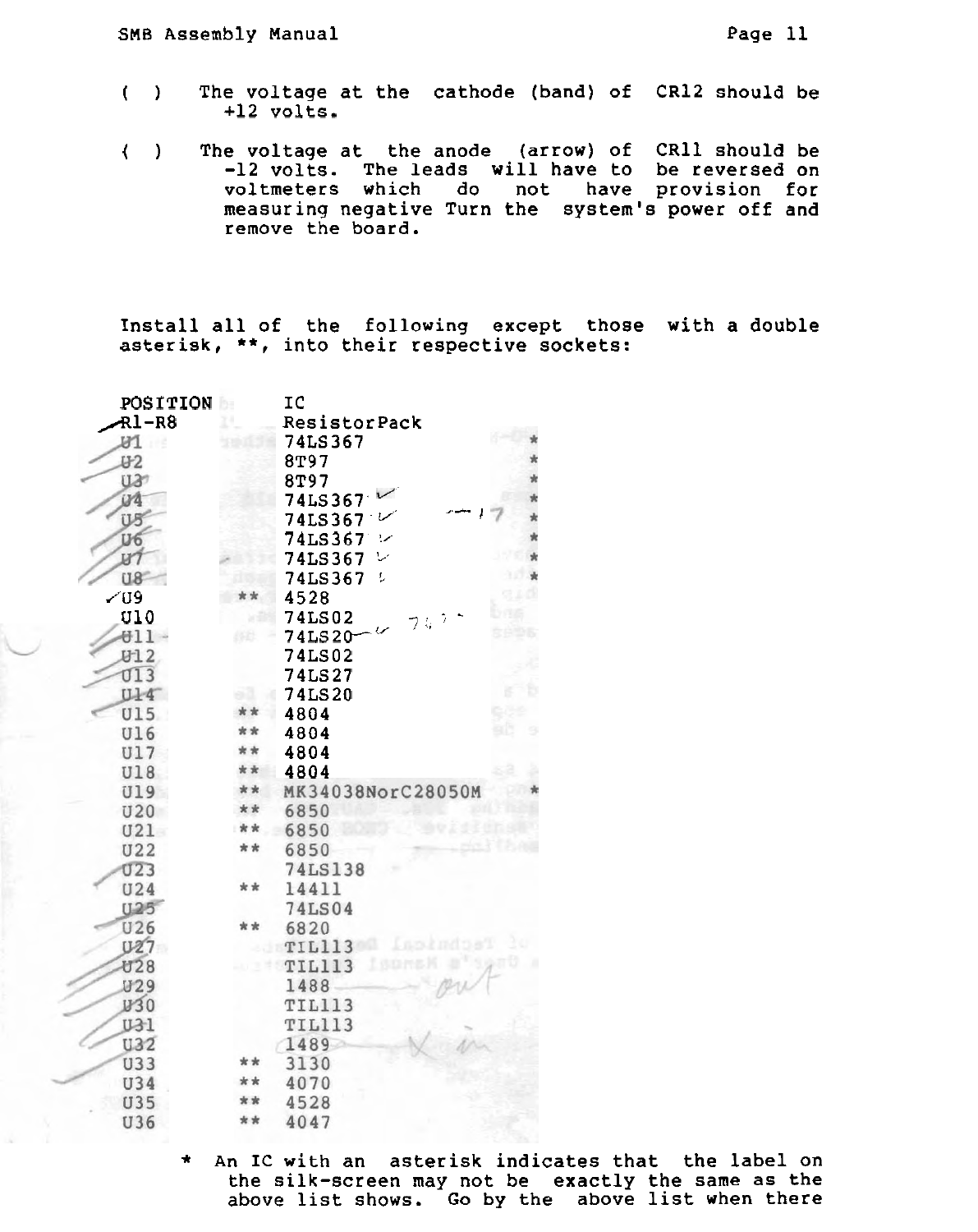- ( ) The voltage at the cathode (band) of CR12 should be  $+12$  volts.
- ( ) The voltage at the anode (arrow) of CRll should be -12 volts. The leads will have to be reversed on voltmeters which do not have provision for measuring negative Turn the system's power off and remove the board.

Install all of the following except those with a double asterisk, \*\*, into their respective sockets:

| POSITION        | P.  | IC                |  |
|-----------------|-----|-------------------|--|
| <b>Rl-R8</b>    |     | ResistorPack      |  |
| 91              |     | 74LS367           |  |
| U <sub>0</sub>  |     | 8T97              |  |
| U37             |     | 8T97              |  |
| iya             |     | 74LS367           |  |
| US <sup></sup>  |     | 74LS367           |  |
| U6              |     | 74LS367<br>!z     |  |
| IJ7             |     | 74LS367<br>سرا    |  |
| U8              |     | 74LS367<br>t,     |  |
| $\sqrt{09}$     |     | 4528              |  |
| <b>U10</b>      |     | <b>74LS02</b>     |  |
| 611             |     | <b>74LS20</b>     |  |
| <b>U12</b>      |     | <b>74LS02</b>     |  |
| <b>J13</b>      |     | <b>74LS27</b>     |  |
| <b>U14</b>      |     | <b>74LS20</b>     |  |
| <b>U15</b>      |     | 4804              |  |
| <b>U16</b>      | * * | 4804              |  |
| <b>U17</b>      | * * | 4804              |  |
| <b>U18</b>      | * * | 4804              |  |
| <b>U19</b>      | **  | MK34038NorC28050M |  |
| <b>U20</b>      | **  | 6850              |  |
| U21             | **  | 6850              |  |
| <b>U22</b>      | **  | 6850              |  |
| 023             |     | 74LS138           |  |
| <b>U24</b>      | * * | 14411             |  |
| U <sub>25</sub> |     | <b>74LS04</b>     |  |
| <b>U26</b>      | * * | 6820              |  |
| U27             |     | TIL113            |  |
| <b>U28</b>      |     | TIL113            |  |
| <b>U29</b>      |     | 1488              |  |
| W30             |     | TIL113            |  |
| U31             |     | <b>TIL113</b>     |  |
| <b>U32</b>      |     | 1489              |  |
| U33             |     | 3130              |  |
| U34             |     | 4070              |  |
| <b>U35</b>      |     | 4528              |  |
| U36             |     | 4047              |  |

\* An IC with an asterisk indicates that the label on the silk-screen may not be exactly the same as the above list shows. Go by the above list when there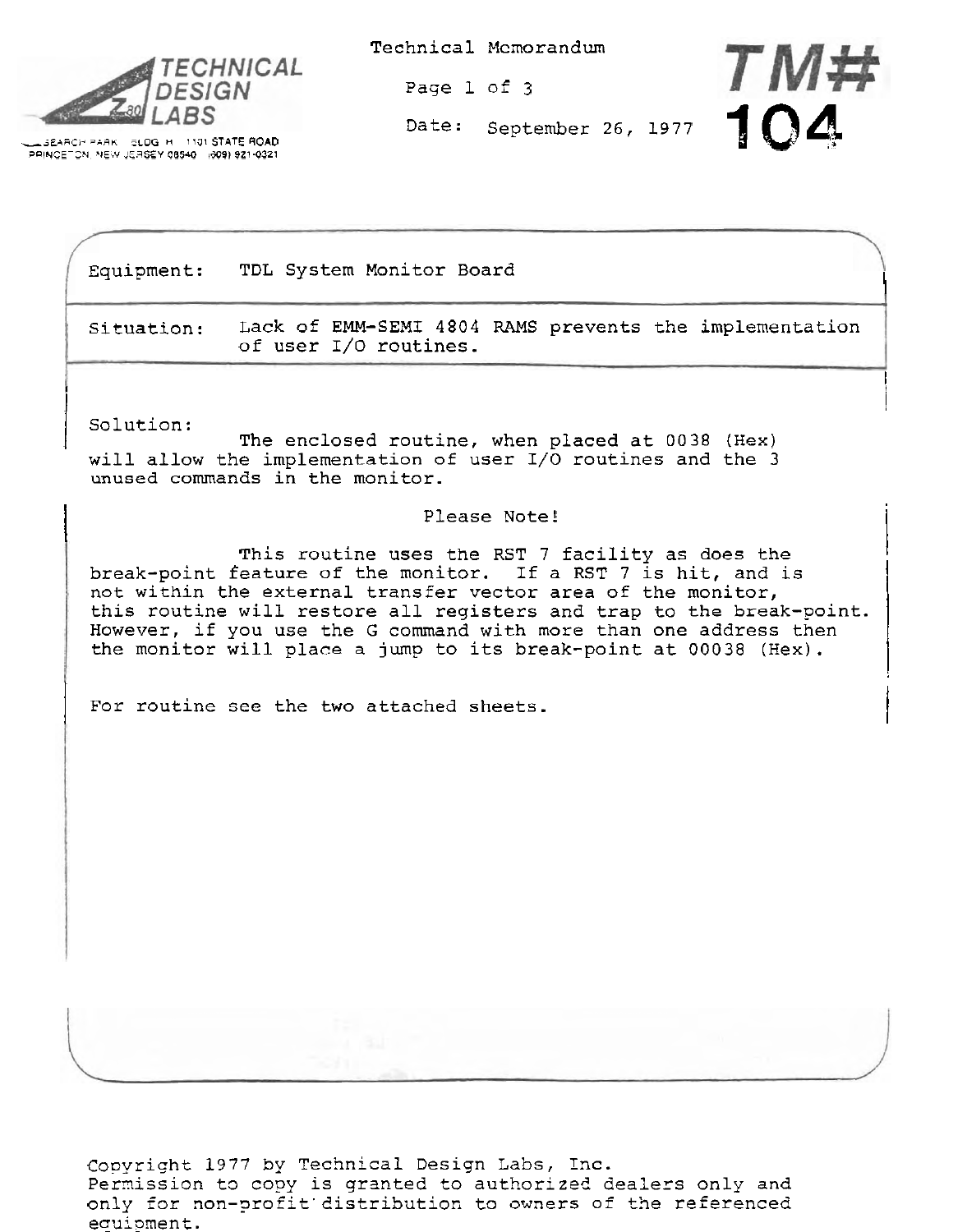

**5 SEARCH PARK II PLOG H 1131 STATE ROAD** ZQINCE-2N **NEiV JEqSiY 08540** 1%) **921-0321**  Technical Memorandum

Page 1 of 3



I

 $\mathbf{I}$ 

I

Equipment: TDL System Monitor Board

Situation: Lack of EMM-SEMI 4804 RAMS prevents the implementation of user **1/0** routines.

<sup>I</sup>I / solution: The enclosed routine, when placed at 0038 (Hex) will allow the implementation of user I/O routines and the 3 unused commands in the monitor.

# Please Note!

This routine uses the RST 7 facility as does the break-point feature of the monitor. If a RST 7 is hit, and is not within the external transfer vector area of the monitor, this routine will restore all registers and trap to the break-point. However, if you use the G command with more than one address then the monitor will place a jump to its break-point at 00038 (Hex).

For routine see the two attached sheets.

Copyriqht 1977 by Technical Design Labs, Inc. Permission to copy is granted to authorized dealers only and only for non-profit'distribution to owners of the referenced equipment.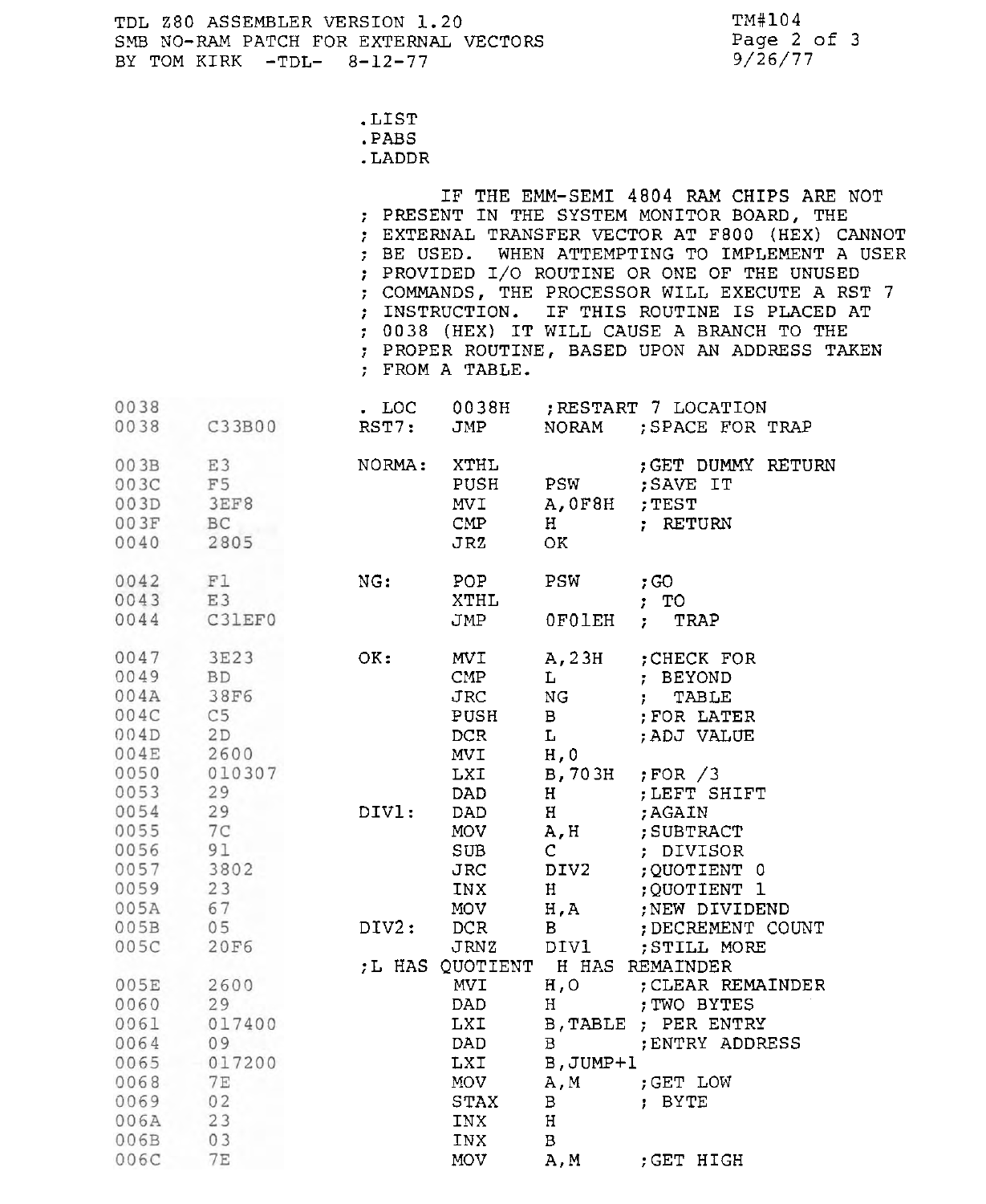TM#104 Page 2 of 3 9/26/77

- .LIST
- . PABS
- . LADDR

IF THE EMM-SEMI 4804 RAM CHIPS ARE NOT ; PRESENT IN THE SYSTEM MONITOR BOARD, THE ; EXTERNAL TRANSFER VECTOR AT F800 (HEX) CANNOT ; BE USED. WHEN ATTEMPTING TO IMPLEMENT A USER ; PROVIDED 1/0 ROUTINE OR ONE OF THE UNUSED ; COMMANDS, THE PROCESSOR WILL EXECUTE A RST 7 ; INSTRUCTION. IF THIS ROUTINE IS PLACED AT ; 0038 (HEX) IT WILL CAUSE A BRANCH TO THE ; PROPER ROUTINE, BASED UPON AN ADDRESS TAKEN ; FROM A TABLE.

| 0038                                                                 |                                                                                  | $.$ LOC |                                                                                      |                                                                                       | 0038H ; RESTART 7 LOCATION                                                                                                            |
|----------------------------------------------------------------------|----------------------------------------------------------------------------------|---------|--------------------------------------------------------------------------------------|---------------------------------------------------------------------------------------|---------------------------------------------------------------------------------------------------------------------------------------|
| 0038                                                                 | C33B00                                                                           | RST7:   | JMP                                                                                  | NORAM                                                                                 | ; SPACE FOR TRAP                                                                                                                      |
| 003B<br>003C<br>003D<br>003F<br>0040                                 | E3<br>F <sub>5</sub><br>3EF8<br>BC<br>2805                                       | NORMA:  | XTHL<br>PUSH<br><b>MVI</b><br>$\text{CMP}$<br>JRZ                                    | <b>PSW</b><br>A, OF8H<br>H<br>OK                                                      | ; GET DUMMY RETURN<br>; SAVE IT<br>; TEST<br>; RETURN                                                                                 |
| 0042<br>0043 E3<br>0044                                              | F1<br>C31EF0                                                                     | NG:     | POP<br>XTHL<br>JMP                                                                   | <b>PSW</b><br><b>OFOLEH</b>                                                           | $;$ GO<br>;  T0<br>TRAP<br>$\mathcal{F}^{\text{max}}$                                                                                 |
| 0047<br>0049<br>004A<br>004C<br>004D<br>004E<br>0050<br>0053         | 3E23<br><b>BD</b><br><b>38F6</b><br>C <sub>5</sub><br>2D<br>2600<br>010307<br>29 | OK:     | <b>MVI</b><br>$\text{CMP}$<br><b>JRC</b><br>PUSH<br>DCR.<br><b>MVI</b><br>LXI<br>DAD | A, 23H<br>L<br>NG<br>$\mathbf{B}$<br>$\mathbf{L}$<br>H <sub>0</sub><br>B, 703H<br>H   | : CHECK FOR<br>; BEYOND<br>$\mathbf{r}$<br>TABLE<br>; FOR LATER<br>; ADJ VALUE<br>$;$ FOR $/3$<br>; LEFT SHIFT                        |
| 0054<br>0055<br>0056<br>0057<br>0059<br>005A                         | 29<br>7 <sup>C</sup><br>91<br>3802<br>23<br>67                                   | DIV1:   | DAD.<br><b>MOV</b><br>SUB<br><b>JRC</b><br>INX<br><b>MOV</b>                         | H<br>A, H<br>$\mathbf{C}$<br>DIV2<br>H<br>H.A                                         | : AGAIN<br>; SUBTRACT<br>; DIVISOR<br>;QUOTIENT 0<br>:QUOTIENT 1<br>:NEW DIVIDEND                                                     |
| $005B$ 05<br>005C                                                    | <b>20F6</b>                                                                      | DIV2:   | DCR<br><b>JRNZ</b>                                                                   | $\mathbf{B}$<br>DIV1                                                                  | : DECREMENT COUNT<br>; STILL MORE                                                                                                     |
| 005E<br>0060<br>0061<br>0064<br>0065<br>0068<br>0069<br>006A<br>006B | 2600<br>29<br>017400<br>09<br>017200<br>7E<br>02<br>23<br>03                     |         | MVI<br>DAD<br>LXI<br>DAD<br>LXI<br>MOV<br><b>STAX</b><br>INX<br>INX                  | H, O<br>Н<br>$\, {\bf B} \,$<br>B, JUMP+1<br>A, M<br>$\mathbf{B}$<br>H<br>$\mathbf B$ | ; L HAS QUOTIENT H HAS REMAINDER<br>; CLEAR REMAINDER<br>; TWO BYTES<br>B. TABLE ; PER ENTRY<br>; ENTRY ADDRESS<br>GET LOW:<br>; BYTE |
| 006C                                                                 | <b>7E</b>                                                                        |         | <b>MOV</b>                                                                           | A, M                                                                                  | ; GET HIGH                                                                                                                            |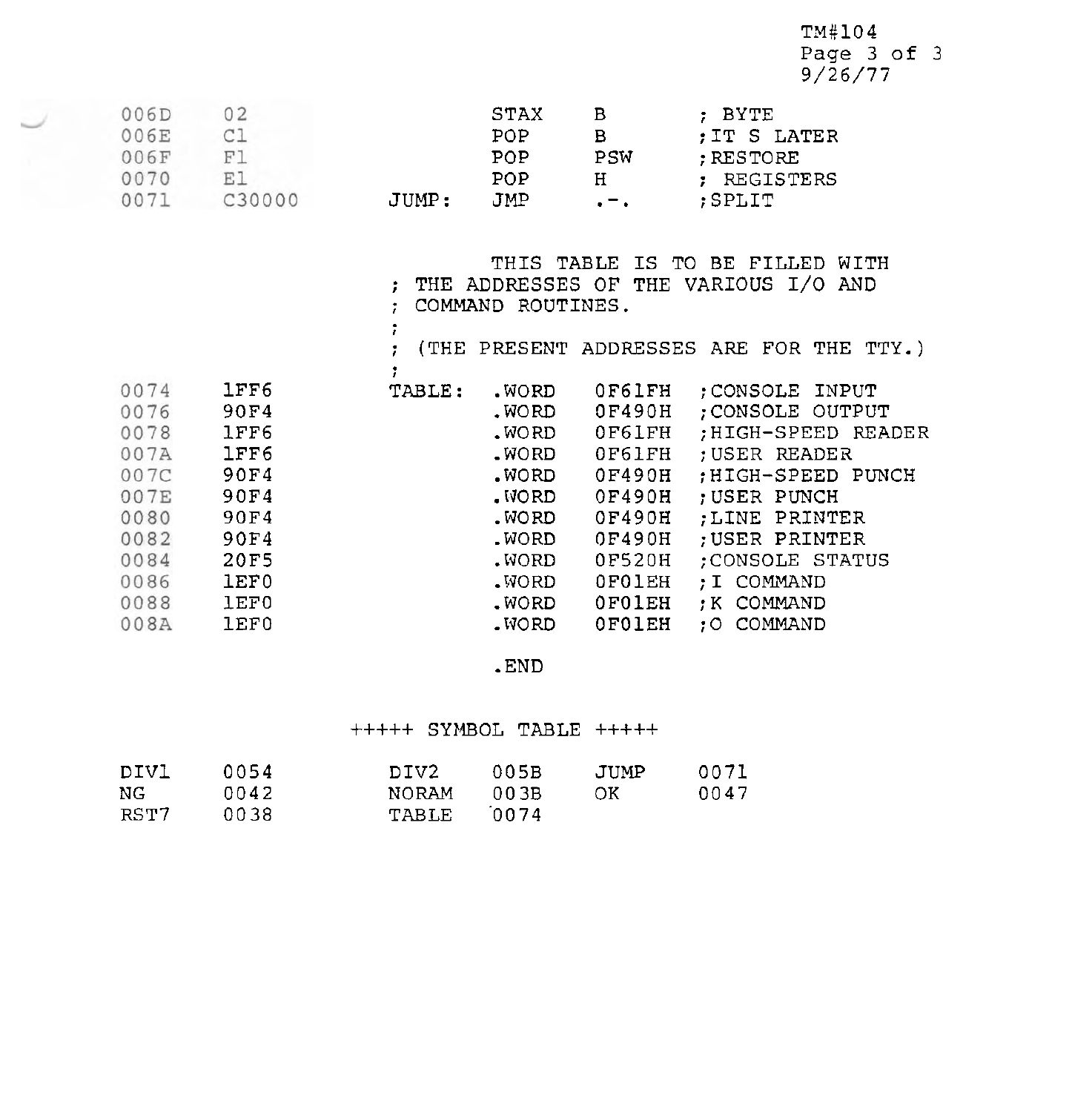$TM#104$ Page 3 of 3 9/26/77

| 006E<br>POP<br>; IT S LATER<br>в<br>006F<br>F<br>PSW<br>POP<br>: RESTORE<br>0070<br>POP<br>H<br>: REGISTERS<br>007<br>JMP.<br>C30000<br>JUMP:<br>:SPLIT<br>$\mathbf{v} = \mathbf{v}$ |
|--------------------------------------------------------------------------------------------------------------------------------------------------------------------------------------|
|--------------------------------------------------------------------------------------------------------------------------------------------------------------------------------------|

|      |      |        | COMMAND ROUTINES. |        | THIS TABLE IS TO BE FILLED<br>WITH<br>THE ADDRESSES OF THE VARIOUS I/O AND |
|------|------|--------|-------------------|--------|----------------------------------------------------------------------------|
|      |      |        |                   |        | (THE PRESENT ADDRESSES ARE FOR THE TTY.)                                   |
| 0074 | 1FF6 | TABLE: | .WORD             | OF61FH | : CONSOLE INPUT                                                            |
| 0076 | 90F4 |        | .WORD             | 0F490H | ; CONSOLE OUTPUT                                                           |
| 0078 | 1FF6 |        | .WORD             | 0F61FH | ;HIGH-SPEED READER                                                         |
| 007A | 1FF6 |        | .WORD             | OF61FH | ; USER READER                                                              |
| 007C | 90F4 |        | .WORD             | 0F490H | HIGH-SPEED PUNCH                                                           |
| 007E | 90F4 |        | . WORD            | 0F490H | ; USER PUNCH                                                               |
| 0080 | 90F4 |        | .WORD             | 0F490H | :LINE PRINTER                                                              |
| 0082 | 90F4 |        | .WORD             | 0F490H | ; USER PRINTER                                                             |
| 0084 | 20F5 |        | .WORD .           | 0F520H | ;CONSOLE STATUS                                                            |
| 0086 | 1EF0 |        | .WORD             | OFOIEH | :I COMMAND                                                                 |
| 0088 | 1EF0 |        | .WORD             | OFOIEH | : K COMMAND                                                                |
| 008A | 1EF0 |        | .WORD .           | 0F01EH | :O COMMAND                                                                 |

.END

# +++++ SYMBOL TABLE +++++

| DIVI | 0054 | DIV2.        | 005B  | JUMP | 0071 |
|------|------|--------------|-------|------|------|
| NC.  | 0042 | <b>NORAM</b> | 00.3B | OK.  | 0047 |
| RST7 | 0038 | TABLE        | 0074  |      |      |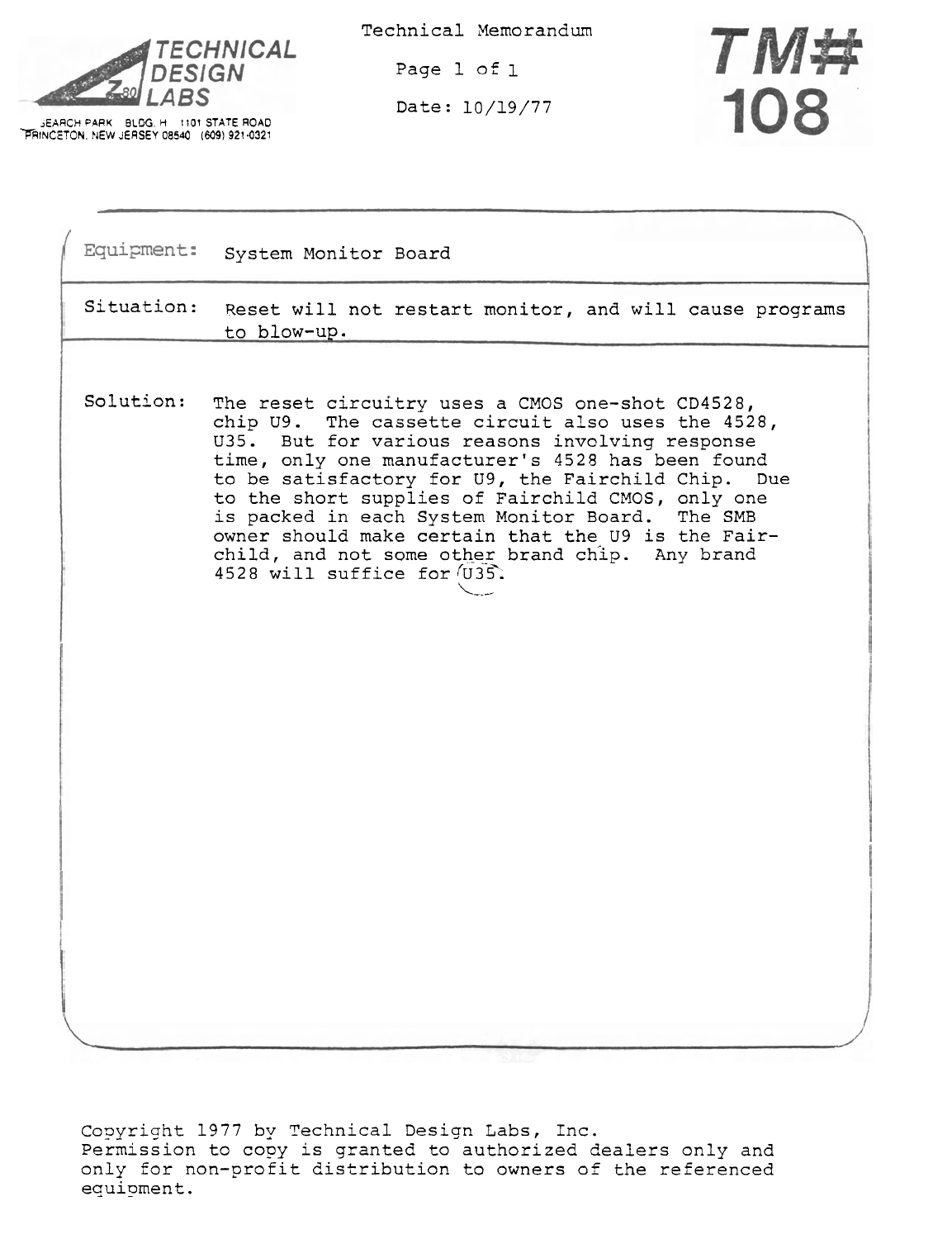

**EXAMPLE 80 LABS**<br> **PRINCETON. NEW JERSEY 08540** (609) 921-0321

Technical Memorandum

Page 1 of 1

Date: 10/19/77



|            | Equipment: System Monitor Board                                                                                                                                                                                                                                                                                                                                                                                                                                                                                      |
|------------|----------------------------------------------------------------------------------------------------------------------------------------------------------------------------------------------------------------------------------------------------------------------------------------------------------------------------------------------------------------------------------------------------------------------------------------------------------------------------------------------------------------------|
| Situation: | Reset will not restart monitor, and will cause programs<br>to blow-up.                                                                                                                                                                                                                                                                                                                                                                                                                                               |
| Solution:  | The reset circuitry uses a CMOS one-shot CD4528,<br>chip U9. The cassette circuit also uses the 4528,<br>U35. But for various reasons involving response<br>time, only one manufacturer's 4528 has been found<br>to be satisfactory for U9, the Fairchild Chip. Due<br>to the short supplies of Fairchild CMOS, only one<br>is packed in each System Monitor Board. The SMB<br>owner should make certain that the U9 is the Fair-<br>child, and not some other brand chip. Any brand<br>4528 will suffice for (U35). |
|            |                                                                                                                                                                                                                                                                                                                                                                                                                                                                                                                      |

Copyright 1977 by Technical Design Labs, Inc. Permission to copy is granted to authorized dealers only and only for non-profit distribution to owners of the referenced equipment .